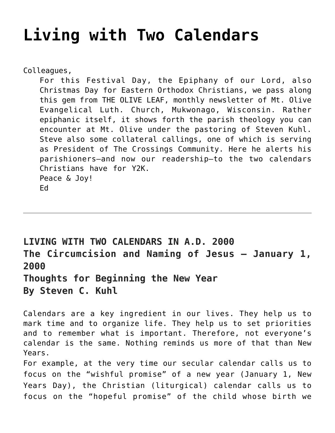## **[Living with Two Calendars](https://crossings.org/living-with-two-calendars/)**

Colleagues,

For this Festival Day, the Epiphany of our Lord, also Christmas Day for Eastern Orthodox Christians, we pass along this gem from THE OLIVE LEAF, monthly newsletter of Mt. Olive Evangelical Luth. Church, Mukwonago, Wisconsin. Rather epiphanic itself, it shows forth the parish theology you can encounter at Mt. Olive under the pastoring of Steven Kuhl. Steve also some collateral callings, one of which is serving as President of The Crossings Community. Here he alerts his parishioners–and now our readership–to the two calendars Christians have for Y2K. Peace & Joy! Ed

**LIVING WITH TWO CALENDARS IN A.D. 2000 The Circumcision and Naming of Jesus – January 1, 2000**

**Thoughts for Beginning the New Year By Steven C. Kuhl**

Calendars are a key ingredient in our lives. They help us to mark time and to organize life. They help us to set priorities and to remember what is important. Therefore, not everyone's calendar is the same. Nothing reminds us more of that than New Years.

For example, at the very time our secular calendar calls us to focus on the "wishful promise" of a new year (January 1, New Years Day), the Christian (liturgical) calendar calls us to focus on the "hopeful promise" of the child whose birth we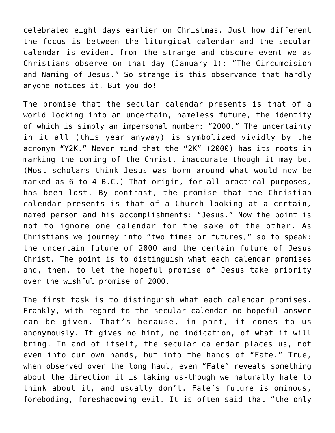celebrated eight days earlier on Christmas. Just how different the focus is between the liturgical calendar and the secular calendar is evident from the strange and obscure event we as Christians observe on that day (January 1): "The Circumcision and Naming of Jesus." So strange is this observance that hardly anyone notices it. But you do!

The promise that the secular calendar presents is that of a world looking into an uncertain, nameless future, the identity of which is simply an impersonal number: "2000." The uncertainty in it all (this year anyway) is symbolized vividly by the acronym "Y2K." Never mind that the "2K" (2000) has its roots in marking the coming of the Christ, inaccurate though it may be. (Most scholars think Jesus was born around what would now be marked as 6 to 4 B.C.) That origin, for all practical purposes, has been lost. By contrast, the promise that the Christian calendar presents is that of a Church looking at a certain, named person and his accomplishments: "Jesus." Now the point is not to ignore one calendar for the sake of the other. As Christians we journey into "two times or futures," so to speak: the uncertain future of 2000 and the certain future of Jesus Christ. The point is to distinguish what each calendar promises and, then, to let the hopeful promise of Jesus take priority over the wishful promise of 2000.

The first task is to distinguish what each calendar promises. Frankly, with regard to the secular calendar no hopeful answer can be given. That's because, in part, it comes to us anonymously. It gives no hint, no indication, of what it will bring. In and of itself, the secular calendar places us, not even into our own hands, but into the hands of "Fate." True, when observed over the long haul, even "Fate" reveals something about the direction it is taking us-though we naturally hate to think about it, and usually don't. Fate's future is ominous, foreboding, foreshadowing evil. It is often said that "the only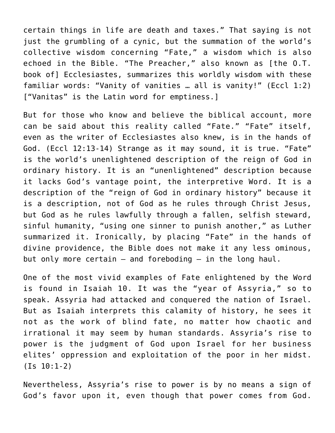certain things in life are death and taxes." That saying is not just the grumbling of a cynic, but the summation of the world's collective wisdom concerning "Fate," a wisdom which is also echoed in the Bible. "The Preacher," also known as [the O.T. book of] Ecclesiastes, summarizes this worldly wisdom with these familiar words: "Vanity of vanities … all is vanity!" (Eccl 1:2) ["Vanitas" is the Latin word for emptiness.]

But for those who know and believe the biblical account, more can be said about this reality called "Fate." "Fate" itself, even as the writer of Ecclesiastes also knew, is in the hands of God. (Eccl 12:13-14) Strange as it may sound, it is true. "Fate" is the world's unenlightened description of the reign of God in ordinary history. It is an "unenlightened" description because it lacks God's vantage point, the interpretive Word. It is a description of the "reign of God in ordinary history" because it is a description, not of God as he rules through Christ Jesus, but God as he rules lawfully through a fallen, selfish steward, sinful humanity, "using one sinner to punish another," as Luther summarized it. Ironically, by placing "Fate" in the hands of divine providence, the Bible does not make it any less ominous, but only more certain — and foreboding — in the long haul.

One of the most vivid examples of Fate enlightened by the Word is found in Isaiah 10. It was the "year of Assyria," so to speak. Assyria had attacked and conquered the nation of Israel. But as Isaiah interprets this calamity of history, he sees it not as the work of blind fate, no matter how chaotic and irrational it may seem by human standards. Assyria's rise to power is the judgment of God upon Israel for her business elites' oppression and exploitation of the poor in her midst. (Is 10:1-2)

Nevertheless, Assyria's rise to power is by no means a sign of God's favor upon it, even though that power comes from God.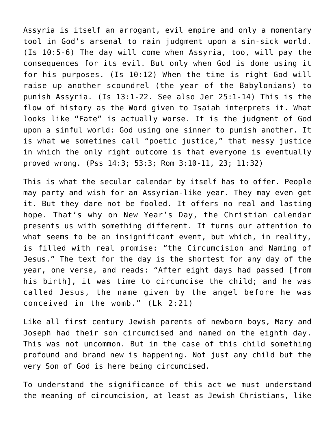Assyria is itself an arrogant, evil empire and only a momentary tool in God's arsenal to rain judgment upon a sin-sick world. (Is 10:5-6) The day will come when Assyria, too, will pay the consequences for its evil. But only when God is done using it for his purposes. (Is 10:12) When the time is right God will raise up another scoundrel (the year of the Babylonians) to punish Assyria. (Is 13:1-22. See also Jer 25:1-14) This is the flow of history as the Word given to Isaiah interprets it. What looks like "Fate" is actually worse. It is the judgment of God upon a sinful world: God using one sinner to punish another. It is what we sometimes call "poetic justice," that messy justice in which the only right outcome is that everyone is eventually proved wrong. (Pss 14:3; 53:3; Rom 3:10-11, 23; 11:32)

This is what the secular calendar by itself has to offer. People may party and wish for an Assyrian-like year. They may even get it. But they dare not be fooled. It offers no real and lasting hope. That's why on New Year's Day, the Christian calendar presents us with something different. It turns our attention to what seems to be an insignificant event, but which, in reality, is filled with real promise: "the Circumcision and Naming of Jesus." The text for the day is the shortest for any day of the year, one verse, and reads: "After eight days had passed [from his birth], it was time to circumcise the child; and he was called Jesus, the name given by the angel before he was conceived in the womb." (Lk 2:21)

Like all first century Jewish parents of newborn boys, Mary and Joseph had their son circumcised and named on the eighth day. This was not uncommon. But in the case of this child something profound and brand new is happening. Not just any child but the very Son of God is here being circumcised.

To understand the significance of this act we must understand the meaning of circumcision, at least as Jewish Christians, like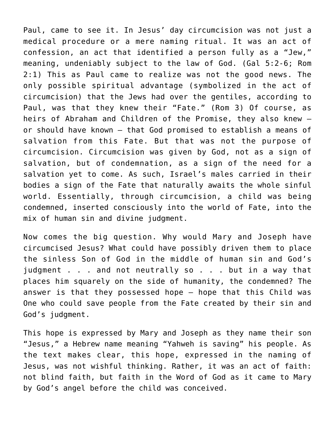Paul, came to see it. In Jesus' day circumcision was not just a medical procedure or a mere naming ritual. It was an act of confession, an act that identified a person fully as a "Jew," meaning, undeniably subject to the law of God. (Gal 5:2-6; Rom 2:1) This as Paul came to realize was not the good news. The only possible spiritual advantage (symbolized in the act of circumcision) that the Jews had over the gentiles, according to Paul, was that they knew their "Fate." (Rom 3) Of course, as heirs of Abraham and Children of the Promise, they also knew or should have known — that God promised to establish a means of salvation from this Fate. But that was not the purpose of circumcision. Circumcision was given by God, not as a sign of salvation, but of condemnation, as a sign of the need for a salvation yet to come. As such, Israel's males carried in their bodies a sign of the Fate that naturally awaits the whole sinful world. Essentially, through circumcision, a child was being condemned, inserted consciously into the world of Fate, into the mix of human sin and divine judgment.

Now comes the big question. Why would Mary and Joseph have circumcised Jesus? What could have possibly driven them to place the sinless Son of God in the middle of human sin and God's judgment . . . and not neutrally so . . . but in a way that places him squarely on the side of humanity, the condemned? The answer is that they possessed hope — hope that this Child was One who could save people from the Fate created by their sin and God's judgment.

This hope is expressed by Mary and Joseph as they name their son "Jesus," a Hebrew name meaning "Yahweh is saving" his people. As the text makes clear, this hope, expressed in the naming of Jesus, was not wishful thinking. Rather, it was an act of faith: not blind faith, but faith in the Word of God as it came to Mary by God's angel before the child was conceived.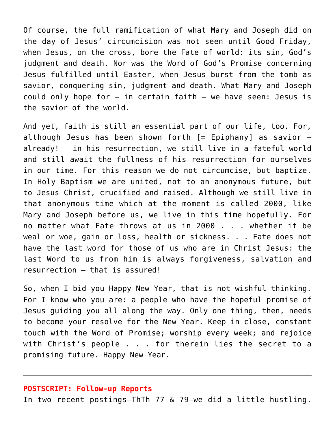Of course, the full ramification of what Mary and Joseph did on the day of Jesus' circumcision was not seen until Good Friday, when Jesus, on the cross, bore the Fate of world: its sin, God's judgment and death. Nor was the Word of God's Promise concerning Jesus fulfilled until Easter, when Jesus burst from the tomb as savior, conquering sin, judgment and death. What Mary and Joseph could only hope for — in certain faith — we have seen: Jesus is the savior of the world.

And yet, faith is still an essential part of our life, too. For, although Jesus has been shown forth  $[=$  Epiphany] as savior  $$ already! — in his resurrection, we still live in a fateful world and still await the fullness of his resurrection for ourselves in our time. For this reason we do not circumcise, but baptize. In Holy Baptism we are united, not to an anonymous future, but to Jesus Christ, crucified and raised. Although we still live in that anonymous time which at the moment is called 2000, like Mary and Joseph before us, we live in this time hopefully. For no matter what Fate throws at us in 2000 . . . whether it be weal or woe, gain or loss, health or sickness. . . Fate does not have the last word for those of us who are in Christ Jesus: the last Word to us from him is always forgiveness, salvation and resurrection — that is assured!

So, when I bid you Happy New Year, that is not wishful thinking. For I know who you are: a people who have the hopeful promise of Jesus guiding you all along the way. Only one thing, then, needs to become your resolve for the New Year. Keep in close, constant touch with the Word of Promise; worship every week; and rejoice with Christ's people . . . for therein lies the secret to a promising future. Happy New Year.

## **POSTSCRIPT: Follow-up Reports**

In two recent postings–ThTh 77 & 79–we did a little hustling.